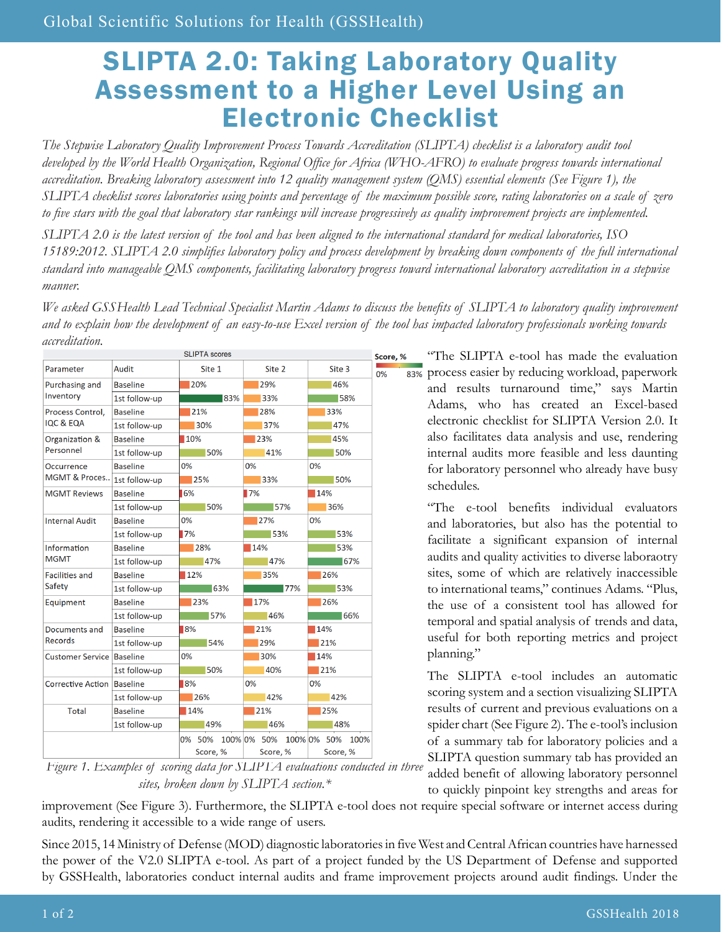## SLIPTA 2.0: Taking Laboratory Quality Assessment to a Higher Level Using an Electronic Checklist

*The Stepwise Laboratory Quality Improvement Process Towards Accreditation (SLIPTA) checklist is a laboratory audit tool developed by the World Health Organization, Regional Office for Africa (WHO-AFRO) to evaluate progress towards international accreditation. Breaking laboratory assessment into 12 quality management system (QMS) essential elements (See Figure 1), the SLIPTA checklist scores laboratories using points and percentage of the maximum possible score, rating laboratories on a scale of zero to five stars with the goal that laboratory star rankings will increase progressively as quality improvement projects are implemented.*

*SLIPTA 2.0 is the latest version of the tool and has been aligned to the international standard for medical laboratories, ISO 15189:2012. SLIPTA 2.0 simplifies laboratory policy and process development by breaking down components of the full international standard into manageable QMS components, facilitating laboratory progress toward international laboratory accreditation in a stepwise manner.* 

*We asked GSSHealth Lead Technical Specialist Martin Adams to discuss the benefits of SLIPTA to laboratory quality improvement and to explain how the development of an easy-to-use Excel version of the tool has impacted laboratory professionals working towards accreditation.*

|                                          |                 | <b>SLIPTA</b> scores |                                     |          |
|------------------------------------------|-----------------|----------------------|-------------------------------------|----------|
| Parameter                                | Audit           | Site 1               | Site 2                              | Site 3   |
| Purchasing and<br>Inventory              | <b>Baseline</b> | 20%                  | 29%                                 | 46%      |
|                                          | 1st follow-up   | 183%                 | 33%                                 | 158%     |
| Process Control.<br><b>IQC &amp; EQA</b> | <b>Baseline</b> | 21%                  | 28%                                 | 33%      |
|                                          | 1st follow-up   | 30%                  | 37%                                 | 47%      |
| Organization &<br>Personnel              | <b>Baseline</b> | 10%                  | 23%                                 | 45%      |
|                                          | 1st follow-up   | 50%                  | 41%                                 | 50%      |
| Occurrence<br>MGMT & Proces              | <b>Baseline</b> | 0%                   | 0%                                  | 0%       |
|                                          | 1st follow-up   | 25%                  | 33%                                 | 50%      |
| <b>MGMT Reviews</b>                      | <b>Baseline</b> | 6%                   | 17%                                 | 14%      |
|                                          | 1st follow-up   | 50%                  | 157%                                | 36%      |
| <b>Internal Audit</b>                    | <b>Baseline</b> | 0%                   | 27%                                 | 0%       |
|                                          | 1st follow-up   | 17%                  | 53%                                 | 53%      |
| Information<br><b>MGMT</b>               | <b>Baseline</b> | 28%                  | 14%                                 | 53%      |
|                                          | 1st follow-up   | 47%                  | 47%                                 | $-67%$   |
| <b>Facilities and</b><br>Safety          | <b>Baseline</b> | 12%                  | 35%                                 | 26%      |
|                                          | 1st follow-up   | 63%                  | $\overline{77\%}$                   | 153%     |
| Equipment                                | <b>Baseline</b> | 23%                  | 17%                                 | 26%      |
|                                          | 1st follow-up   | 57%                  | 46%                                 | 166%     |
| Documents and<br>Records                 | <b>Baseline</b> | 18%                  | 21%                                 | 14%      |
|                                          | 1st follow-up   | 54%                  | 29%                                 | 21%      |
| <b>Customer Service</b>                  | <b>Baseline</b> | 0%                   | 30%                                 | 14%      |
|                                          | 1st follow-up   | 50%                  | 40%                                 | 21%      |
| <b>Corrective Action</b>                 | <b>Baseline</b> | 18%                  | 0%                                  | 0%       |
|                                          | 1st follow-up   | 26%                  | 42%                                 | 42%      |
| <b>Total</b>                             | <b>Baseline</b> | 14%                  | 21%                                 | 25%      |
|                                          | 1st follow-up   | 49%                  | 46%                                 | 48%      |
|                                          |                 |                      | 0% 50% 100% 0% 50% 100% 0% 50% 100% |          |
|                                          |                 | Score, %             | Score, %                            | Score, % |

*Figure 1. Examples of scoring data for SLIPTA evaluations conducted in three sites, broken down by SLIPTA section.\**

"The SLIPTA e-tool has made the evaluation 83% process easier by reducing workload, paperwork and results turnaround time," says Martin Adams, who has created an Excel-based electronic checklist for SLIPTA Version 2.0. It also facilitates data analysis and use, rendering internal audits more feasible and less daunting for laboratory personnel who already have busy schedules.

> "The e-tool benefits individual evaluators and laboratories, but also has the potential to facilitate a significant expansion of internal audits and quality activities to diverse laboraotry sites, some of which are relatively inaccessible to international teams," continues Adams. "Plus, the use of a consistent tool has allowed for temporal and spatial analysis of trends and data, useful for both reporting metrics and project planning."

> The SLIPTA e-tool includes an automatic scoring system and a section visualizing SLIPTA results of current and previous evaluations on a spider chart (See Figure 2). The e-tool's inclusion of a summary tab for laboratory policies and a SLIPTA question summary tab has provided an added benefit of allowing laboratory personnel to quickly pinpoint key strengths and areas for

improvement (See Figure 3). Furthermore, the SLIPTA e-tool does not require special software or internet access during audits, rendering it accessible to a wide range of users.

Since 2015, 14 Ministry of Defense (MOD) diagnostic laboratories in five West and Central African countries have harnessed the power of the V2.0 SLIPTA e-tool. As part of a project funded by the US Department of Defense and supported by GSSHealth, laboratories conduct internal audits and frame improvement projects around audit findings. Under the